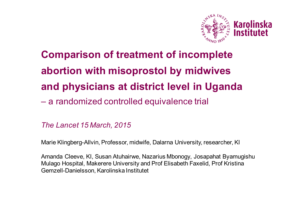

# **Comparison of treatment of incomplete abortion with misoprostol by midwives and physicians at district level in Uganda** – a randomized controlled equivalence trial

#### *The Lancet 15 March, 2015*

Marie Klingberg-Allvin, Professor, midwife, Dalarna University, researcher, KI

Amanda Cleeve, KI, Susan Atuhairwe, Nazarius Mbonogy, Josapahat Byamugishu Mulago Hospital, Makerere University and Prof Elisabeth Faxelid, Prof Kristina Gemzell-Danielsson, Karolinska Institutet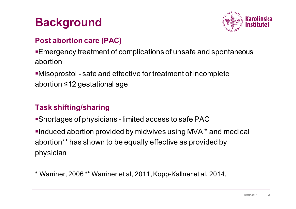## **Background**



#### **Post abortion care (PAC)**

§Emergency treatment of complications of unsafe and spontaneous abortion

•Misoprostol - safe and effective for treatment of incomplete abortion ≤12 gestational age

### **Task shifting/sharing**

■Shortages of physicians - limited access to safe PAC

•Induced abortion provided by midwives using MVA  $*$  and medical abortion\*\* has shown to be equally effective as provided by physician

\* Warriner, 2006 \*\* Warriner et al, 2011, Kopp-Kallner et al, 2014,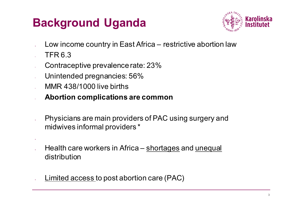# **Background Uganda**



- Low income country in East Africa restrictive abortion law
- TFR 6.3

§

- Contraceptive prevalence rate: 23%
- Unintended pregnancies: 56%
- MMR 438/1000 live births
- **Abortion complications are common**
- Physicians are main providers of PAC using surgery and midwives informal providers \*
- Health care workers in Africa shortages and unequal distribution
- Limited access to post abortion care (PAC)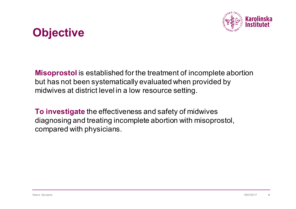

## **Objective**

**Misoprostol** is established for the treatment of incomplete abortion but has not been systematically evaluated when provided by midwives at district level in a low resource setting.

**To investigate** the effectiveness and safety of midwives diagnosing and treating incomplete abortion with misoprostol, compared with physicians.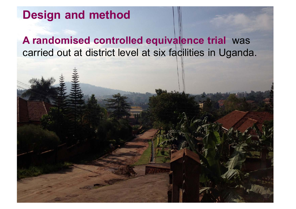## **Design and method**

**A randomised controlled equivalence trial** was carried out at district level at six facilities in Uganda.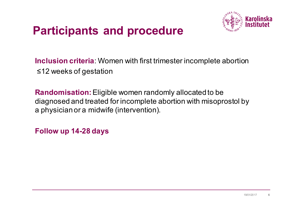## **Participants and procedure**



**Inclusion criteria**: Women with first trimester incomplete abortion ≤12 weeks of gestation

**Randomisation:** Eligible women randomly allocated to be diagnosed and treated for incomplete abortion with misoprostol by a physician or a midwife (intervention).

**Follow up 14-28 days**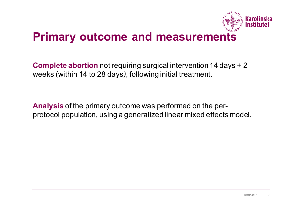

### **Primary outcome and measurements**

**Complete abortion** not requiring surgical intervention 14 days + 2 weeks (within 14 to 28 days*)*, following initial treatment.

**Analysis** of the primary outcome was performed on the perprotocol population, using a generalized linear mixed effects model.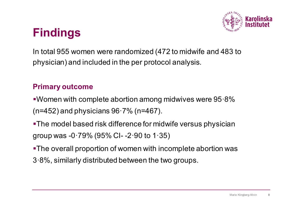

## **Findings**

In total 955 women were randomized (472 to midwife and 483 to physician) and included in the per protocol analysis.

#### **Primary outcome**

- §Women with complete abortion among midwives were 95·8% (n=452) and physicians 96·7% (n=467).
- •The model based risk difference for midwife versus physician group was -0·79% (95% CI- -2·90 to 1·35)
- §The overall proportion of women with incomplete abortion was
- 3·8%, similarly distributed between the two groups.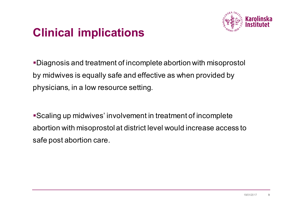

## **Clinical implications**

§Diagnosis and treatment of incomplete abortion with misoprostol by midwives is equally safe and effective as when provided by physicians, in a low resource setting.

■Scaling up midwives' involvement in treatment of incomplete abortion with misoprostol at district level would increase access to safe post abortion care.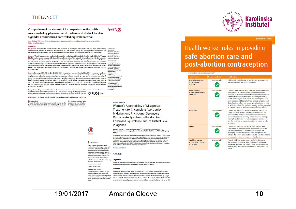#### **THELANCET-**

#### Comparison of treatment of incomplete abortion with misoprostol by physicians and midwives at district level in Uganda: a randomised controlled equivalence trial

Marie Klingbarg-Allvin", Amanda Cleeve", Susan Atuhairwe, Nazarius Mbona Turnwesigye, Elisabeth Faxelid, Josaphat Byarnugishat, Kristing Gemzell-Danielsson

#### Summary

Background Misoprostol is established for the treatment of incomplete abortion but has not been systematically Data and the provided by midwives at district level in a low-resource soution out has not vecu systematically a<br>assessed when provided by midwives at district level in a low-resource setting. We investigated the effectiven

Methods We did a multicentre randomised controlled equivalence trial at district level at six facilities in Uganda. http://dx.doi.org/10.1016 Eligibility criteria were women with signs of incomplete abortion. We randomly allocated women with first-trimester 50140-6736(14)62282-8 incomplete abortion to clinical assessment and treatment with misoprostol either by a physician or a midwife. The randomisation (1:1) was done in blocks of 12 and was stratified for study site. Primary outcome was complete "Joint first authors fjoint last authors abortion not needing surgical intervention within 14-28 days after initial treatment. The study was not masked. **School of Education, Healt** Analysis of the primary outcome was done on the per-protocol population with a generalised linear-mixed effects and Social Studies, Dalama<br>University, Falun, Sweden<br>(M.Kingberg-Alivin PhD); model. The predefined equivalence range was -4% to 4%. The trial was registered at ClinicalTrials.gov, number NCT01844024 Department of Women's an

**Children's Health** Findings From April 30, 2013, to July 21, 2014, 1108 women were assessed for eligibility. 1010 women were randomly (MED) explores assigned to each group (506 to midwife group and 504 to physician group). 955 women (472 in arous had complete abortion and 467 (96-796) in the physician group. The model-based risk difference for midwife begatmaster heats and the complete abortion and 467 (96-796) in the physician group. The model-based risk dif **Stockholm, Sweden** the two groups (4.2% [20/472] in the midwife group, 3.3% [16/483] in the physician group). No serious adverse and call Checken events were recorded cology, Mulago Hospita Kampala, Ugand

Interpretation Diagnosis and treatment of incomplete abortion with misoprostol by midwises is somally eafe and (SARUMANNO MSC effective as when provided by physicians, in a low-resource setting. Scaling up midwive incomplete abortion with misoprostol at district level would increase access to safe por (O-PLOS ONE

Funding The Swedish Research Council, Karolinska Institutet, and Dalarna University

Introduction low-resource settings, mise Unsafe abortion contributes substantially to the global a simplified, cost-effective, burden of maternal mortality and morbidity.' Most unsafe to surgical interventions."<br>abortions cours in low income countries where induced The scarcity of their



**GOPEN ACCESS** 

Health and Social Studies, Dalama University, Falun, Sweden Citation: Cleeve A. Byamugisha J. Genzellanielsson K, Mbona Turnwesigye N, Atuhainwe S, \* amanda, doeve@ki.se Faxeld E, et al. (2016) Women's Acceptability of Misconstel Treatment for Incomplete Abortion by<br>Midwives and Physicians - Secondary Outcome Analysis from a Randomized Controlled Equivalence Abstract Trial at District Level in Uganda. PLoS ONE 11(2): e0149172. doi:10.1371/journal.pone.0149172

Objective Editor: Sharon Cameron, NHS lothian and University

 $\rightarrow$   $@^{\dagger}$   $@$ 

RESEARCHARTICLE

in Uganda

Allvin

of Edinburgh, UNITED KINGDOM Received: November 11, 2015

Accepted: January 26, 2016

Methods Published: February 12, 2016 Copyright: 0 2016 Cleeve et al. This is an open access article distributed under the terms of the

Creetive Commons Attitudion License, which permits<br>unrestricted use, distribution, and reproduction in any medium, provided the original author and source are

This was an analysis of secondary outcomes from a multi-centre randomized controlled equivalence trial at district level in Uganda. Women with first trimester incomplete abortion were randomly allocated to clinical assessment and treatment with misoprostol by a physician or a midwife. The randomisation (1:1) was done in blocks of 12 and stratified for health care facility. Acceptability was measured in expectations and satisfaction at a follow up visi-

This study aimed to assess women's acceptability of diagnosis and treatment of incomplete

Women's Acceptability of Misoprostol **Treatment for Incomplete Abortion by** Midwives and Physicians - Secondary Outcome Analysis from a Randomized Controlled Equivalence Trial at District Level

Amanda Cleeve<sup>1,2∔</sup>, Josaphat Byamugisha<sup>3,4</sup>, Kristina Gemzell-Danielsson<sup>1,2</sup>,<br>Nazarius Mbona Tumwesigye<sup>5</sup>, Susan Atuhairwe<sup>3,4</sup>, Elisabeth Faxelid<sup>6</sup>, Marie Klingber

1 Department of Women's and Children's Health, Karolinska Institutet, Stockholm, Sweden, 2, WHO Center 1 vapamente orienten s'arcivetenten reuarit, nationalista posterior a societati, serior de terminalista de la provincia de la provincia de la provincia de la provincia de la provincia de la provincia del provincia de la pr



**Perommendations** 

#### Health worker roles in providing safe abortion care and post-abortion contraception

trimester with misoprostol<sup>\*</sup>

| <b>Health worker</b>                                       | <b>Recommendation</b> | <b>Justification</b>                                                                                                                                                                                                                                                                                                                                                                                                                                                                                                                     |
|------------------------------------------------------------|-----------------------|------------------------------------------------------------------------------------------------------------------------------------------------------------------------------------------------------------------------------------------------------------------------------------------------------------------------------------------------------------------------------------------------------------------------------------------------------------------------------------------------------------------------------------------|
| Specialist doctors,<br>non-specialist<br>doctors           | Recommended           | Within their typical scope of practice. No assessment of<br>the evidence was therefore conducted.                                                                                                                                                                                                                                                                                                                                                                                                                                        |
| <b>Associate and</b><br>advanced associate<br>clinicians   | Recommended           | There is moderate-certainty evidence for the safety and<br>effectiveness of medical management of incomplete<br>abortion by midwives and moderate-certainty evidence<br>for the effectiveness of medical abortion provision by<br>health worker types with similar or less comprehensive<br>basic training. Additionally, there is direct evidence that<br>these health workers can assess gestational age as part<br>of MVA provision. The option is feasible and the potential<br>to expand access to underserved populations is high. |
| <b>Midwives</b>                                            | Recommended           | There is evidence from a low-resource setting for the<br>safety and effectiveness (moderate certainty) of this<br>option and for women's overall satisfaction with the<br>provider (moderate certainty) when midwives manage<br>incomplete abortion. The option appears feasible and<br>has the potential to reduce inequities in access to safe<br>abortion.                                                                                                                                                                            |
| <b>Nurses</b>                                              | Recommended           | There is evidence for the safety, effectiveness and<br>satisfaction of providing medical abortion (moderate<br>certainty; see Table 5), and the skills required for<br>managing incomplete abortion with misoprostol are<br>similar. The option appears feasible and has the potential<br>to reduce inequities in access to safe abortion.                                                                                                                                                                                               |
| <b>Auxiliary nurses</b><br>and auxiliary nurse<br>midwives | Recommended           | There is evidence for the safety and effectiveness of<br>the provision of medical abortion in the first trimester<br>(moderate certainty; see Table 5), and the skills required<br>for managing incomplete abortion with misoprostol are<br>similar.                                                                                                                                                                                                                                                                                     |

#### 19/01/2017 Amanda Cleeve **10**

abortion with misoprostol by midwives, compared with physicians.